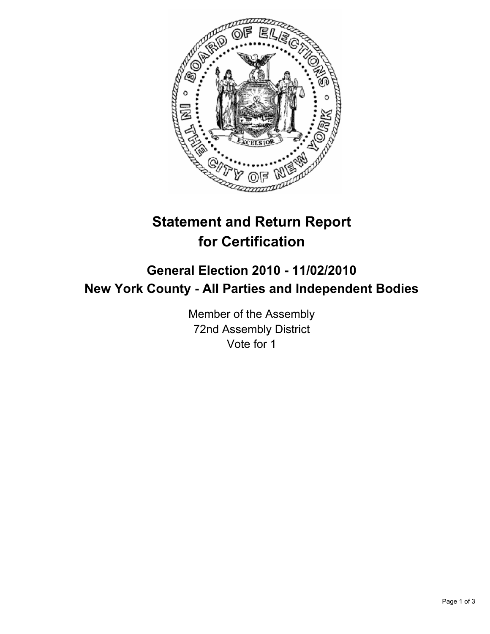

## **Statement and Return Report for Certification**

## **General Election 2010 - 11/02/2010 New York County - All Parties and Independent Bodies**

Member of the Assembly 72nd Assembly District Vote for 1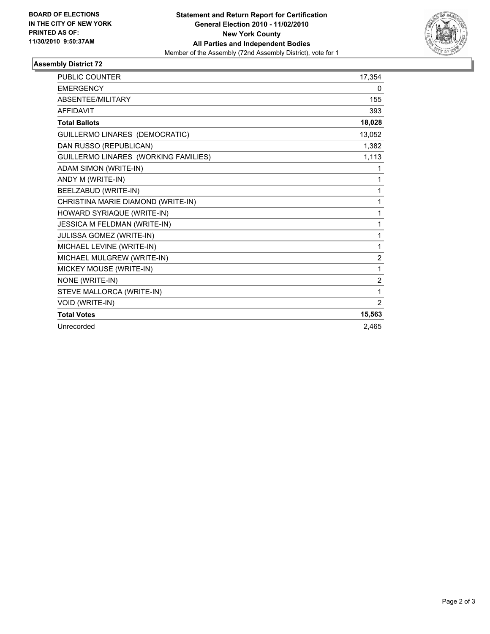

## **Assembly District 72**

| <b>PUBLIC COUNTER</b>                | 17,354         |
|--------------------------------------|----------------|
| <b>EMERGENCY</b>                     | 0              |
| ABSENTEE/MILITARY                    | 155            |
| <b>AFFIDAVIT</b>                     | 393            |
| <b>Total Ballots</b>                 | 18,028         |
| GUILLERMO LINARES (DEMOCRATIC)       | 13,052         |
| DAN RUSSO (REPUBLICAN)               | 1,382          |
| GUILLERMO LINARES (WORKING FAMILIES) | 1,113          |
| <b>ADAM SIMON (WRITE-IN)</b>         | 1              |
| ANDY M (WRITE-IN)                    | 1              |
| BEELZABUD (WRITE-IN)                 | 1              |
| CHRISTINA MARIE DIAMOND (WRITE-IN)   | 1              |
| HOWARD SYRIAQUE (WRITE-IN)           | 1              |
| JESSICA M FELDMAN (WRITE-IN)         | 1              |
| JULISSA GOMEZ (WRITE-IN)             | 1              |
| MICHAEL LEVINE (WRITE-IN)            | 1              |
| MICHAEL MULGREW (WRITE-IN)           | $\overline{2}$ |
| MICKEY MOUSE (WRITE-IN)              | 1              |
| NONE (WRITE-IN)                      | $\overline{2}$ |
| STEVE MALLORCA (WRITE-IN)            | 1              |
| VOID (WRITE-IN)                      | $\overline{2}$ |
| <b>Total Votes</b>                   | 15,563         |
| Unrecorded                           | 2,465          |